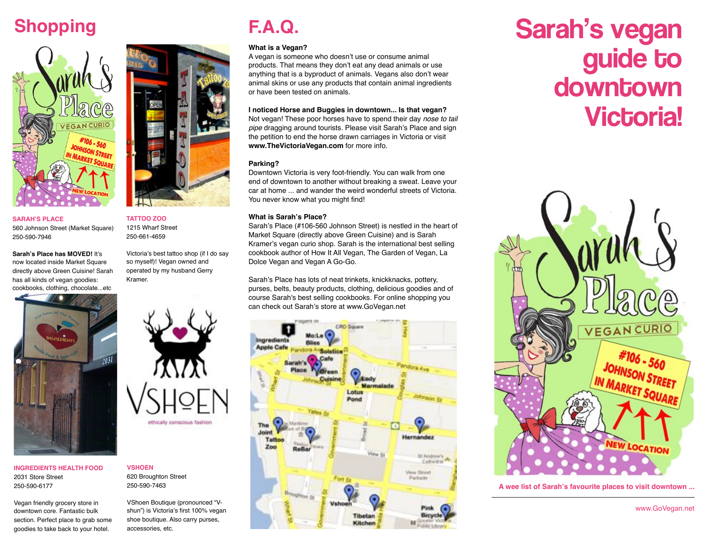## **Shopping**



**SARAH'S PLACE**  560 Johnson Street (Market Square) 250-590-7946

**Sarah's Place has MOVED!** It's now located inside Market Square directly above Green Cuisine! Sarah has all kinds of vegan goodies: cookbooks, clothing, chocolate...etc



**INGREDIENTS HEALTH FOOD** 2031 Store Street 250-590-6177

Vegan friendly grocery store in downtown core. Fantastic bulk section. Perfect place to grab some goodies to take back to your hotel.



**TATTOO ZOO** 1215 Wharf Street 250-661-4659

Victoria's best tattoo shop (if I do say so myself)! Vegan owned and operated by my husband Gerry Kramer.



**VSHOEN** 620 Broughton Street 250-590-7463

VShoen Boutique (pronounced "Vshun") is Victoria's first 100% vegan shoe boutique. Also carry purses, accessories, etc.

## **F.A.Q.**

### **What is a Vegan?**

A vegan is someone who doesn't use or consume animal products. That means they don't eat any dead animals or use anything that is a byproduct of animals. Vegans also don't wear animal skins or use any products that contain animal ingredients or have been tested on animals.

#### **I noticed Horse and Buggies in downtown... Is that vegan?**

Not vegan! These poor horses have to spend their day *nose to tail pipe* dragging around tourists. Please visit Sarah's Place and sign the petition to end the horse drawn carriages in Victoria or visit **www.TheVictoriaVegan.com** for more info.

### **Parking?**

Downtown Victoria is very foot-friendly. You can walk from one end of downtown to another without breaking a sweat. Leave your car at home ... and wander the weird wonderful streets of Victoria. You never know what you might find!

### **What is Sarah's Place?**

Sarah's Place (#106-560 Johnson Street) is nestled in the heart of Market Square (directly above Green Cuisine) and is Sarah Kramer's vegan curio shop. Sarah is the international best selling cookbook author of How It All Vegan, The Garden of Vegan, La Dolce Vegan and Vegan A Go-Go.

Sarah's Place has lots of neat trinkets, knickknacks, pottery, purses, belts, beauty products, clothing, delicious goodies and of course Sarah's best selling cookbooks. For online shopping you can check out Sarah's store at www.GoVegan.net



## Sarah's vegan guide to **downtown Victoria!**



**A wee list of Sarah's favourite places to visit downtown ...**

www.GoVegan.net